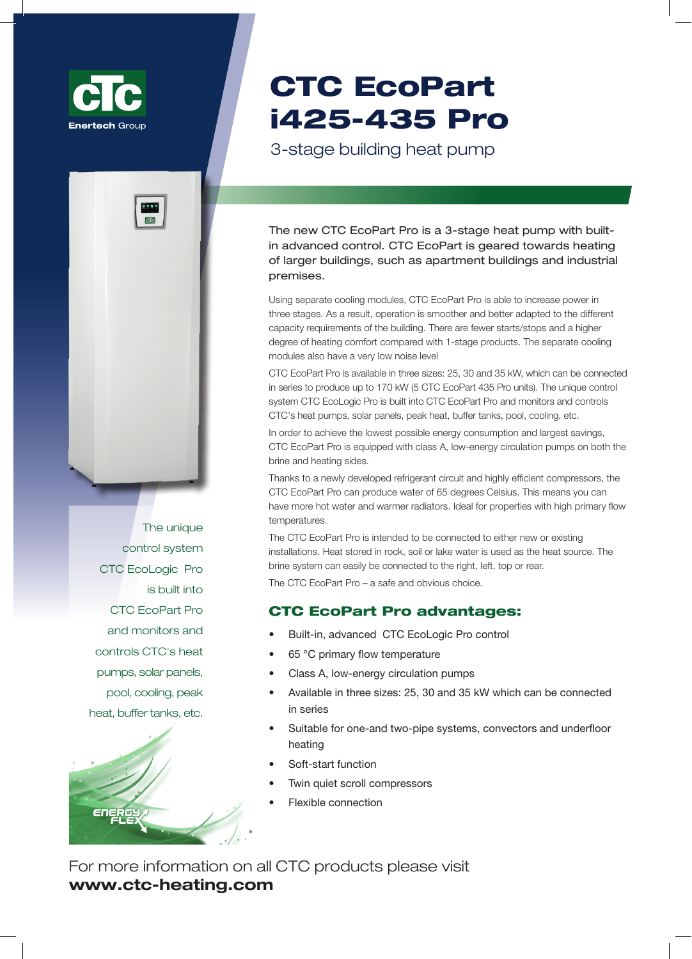



Уникальная система управления СТС EcoLogic Pro встроена в CTC EcoPart Pro и контролирует и регулирует тепловые насосы СТС, солнечные панели, пиковый нагрев, буферные емкости, бассейн, охлаждение и т.д.



# CTC EcoPart i425-435 Pro

# **3-ступенчатый встноенный тепловой насос**

Новый CTC EcoPart Pro – это 3-ступенчатый тепловой насос со встроенной усовершенствованной системой управления. CTC EcoPart предназначен для обогрева больших зданий, таких как жилые здания и промышленные помещения.

Благодаря использованию отдельных модулей охлаждения, CTC EcoPart Pro способен увеличить мощность в три этапа. В результате, насос работает более гладко и лучше приспособлен к различным требованиям по объемам здания. Уменьшилось количество старт/стопов и увеличилась степень теплового комфорта по сравнению с 1-ступенчатым аналогом. Кроме того, отдельные охлаждающие модули имеют также очень низкий уровень шума. CTC EcoPart Pro доступны в трех размерах: 25, 30 и 35 кВт, которые могут быть соединены последовательно и производить до 170 кВт (5 грунтовых насосов, модель CTC EcoPart 435 Pro). Уникальная система управления СТС EcoLogic Pro встроена в CTC EcoPart Pro и контролирует и регулирует тепловые насосы СТС, солнечные панели, пиковый нагрев, буферные емкости, бассейн, охлаждение и т.д.

Для достижения минимально возможного потребление энергии и наибольшей экономии, СТС EcoPart Pro оснащен циркуляционным насосом класса А с низким потреблением энергии, как на соляном растворе, так и на нагревательной поверхности.

Благодаря недавно разработанному холодильному контуру и высокоэффективным компрессорам, CTC EcoPart Pro может нагревать воду до 65 градусов по Цельсию. Это означает, что вы можете иметь больше горячей воды и теплые радиаторы. Идеально подходит для помещений с высокими температурами первичного потока.

CTC EcoPart Pro предназначен для подключения либо к новым системам отопления, или к уже существующим системам. Тепло, имеющееся в камне, почве или озерной воде используется в качестве источника тепла. Система с соляным раствором может быть легко подключена к правой, левой, верхней или задней части.

CTC EcoPart Pro – это безопасный и очевидный выбор.

## **Преимущества CTC EcoPart Pro:**

- Встроенная, усовершенствованная система управления CTC EcoLogic Pro Control
- Температура первичного потока 65 °С
- Циркуляционные насосы Класса «A», с низким потреблением энергии
- Выпускается в трех размерах: 25, 30 и 35 кВт, которые могут быть объединены в одну серию
- Подходит для одно- и двухтрубных систем, конвекторов и напольного отопления
- Функция плавного пуска
- Пара тихих спиральных компрессоров
- Гибкое соединение

Для получения более детальной информации о продукции СТС, посетите, пожалуйста, сайт **www.unigy.com.ua**